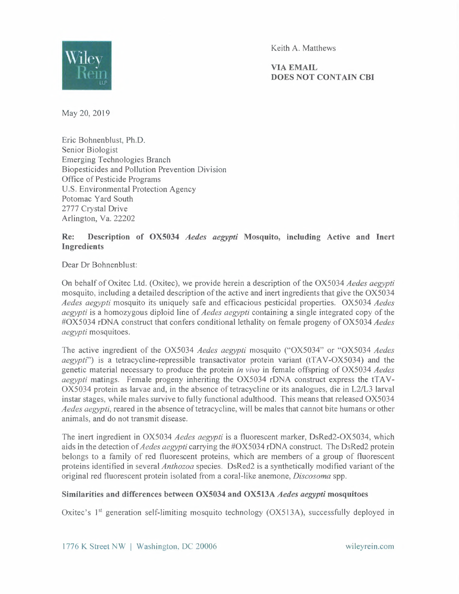

Keith A. Matthews

VIA EMAIL **DOES NOT CONTAIN CBI** 

May 20, 2019

Eric Bohnenblust, Ph.D. Senior Biologist Emerging Technologies Branch Biopesticides and Pollution Prevention Division Office of Pesticide Programs U.S. Environmental Protection Agency Potomac Yard South 2777 Crystal Drive Arlington, Va. 22202

## **Re: Description of OX5034** *Aedes aegypti* **Mosquito, including Active and Inert Ingredients**

Dear Dr Bohnenblust:

On behalf of Oxitec Ltd. (Oxitec), we provide herein a description of the OX5034 *Aedes aegypti*  mosquito, including a detailed description of the active and inert ingredients that give the OX5034 *Aedes aegypti* mosquito its uniquely safe and efficacious pesticidal properties. OX5034 *Aedes aegypti* is a homozygous diploid line of *Aedes aegypti* containing a single integrated copy of the #OX5034 rDNA construct that confers conditional lethality on female progeny of OX5034 *Aedes aegypti* mosquitoes.

The active ingredient of the OX5034 *Aedes aegypti* mosquito ("OX5034" or "OX5034 *Aedes aegypti*") is a tetracycline-repressible transactivator protein variant (tTAV-OX5034) and the genetic material necessary to produce the protein *in vivo* in female offspring of OX5034 *Aedes aegypti* matings. Female progeny inheriting the OX5034 rDNA construct express the tTAV-OX5034 protein as larvae and, in the absence of tetracycline or its analogues, die in L2/L3 larval instar stages, while males survive to fully functional adulthood. This means that released OX5034 *Aedes aegypti,* reared in the absence of tetracycline, will be males that cannot bite humans or other animals, and do not transmit disease.

The inert ingredient in OX5034 *Aedes aegypti* is a fluorescent marker, DsRed2-0X5034, which aids in the detection of *Aedes aegypti* carrying the #OX5034 rDNA construct. The DsRed2 protein belongs to a family of red fluorescent proteins, which are members of a group of fluorescent proteins identified in several *Anthozoa* species. DsRed2 is a synthetically modified variant of the original red fluorescent protein isolated from a coral-like anemone, *Discosoma* spp.

## **Similarities and differences between OX5034 and OX513A** *Aedes aegypti* **mosquitoes**

Oxitec's  $1<sup>st</sup>$  generation self-limiting mosquito technology (OX513A), successfully deployed in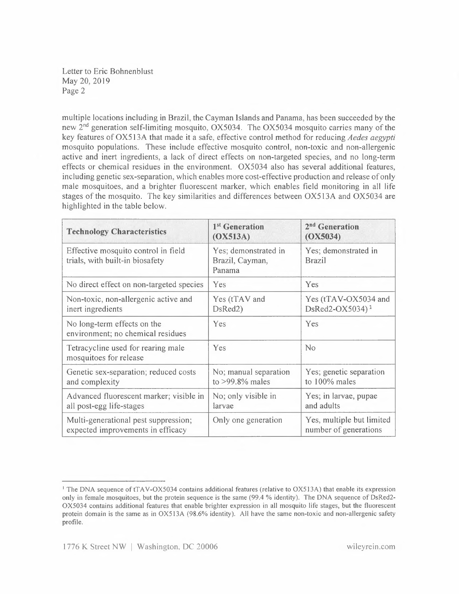Letter to Eric Bohnenblust May 20,2019 Page 2

multiple locations including in Brazil, the Cayman Islands and Panama, has been succeeded by the new 2<sup>nd</sup> generation self-limiting mosquito, OX5034. The OX5034 mosquito carries many of the key features of OX513A that made it a safe, effective control method for reducing *Aedes aegypti*  mosquito populations. These include effective mosquito control, non-toxic and non-allergenic active and inert ingredients, a lack of direct effects on non-targeted species, and no long-term effects or chemical residues in the environment. OX5034 also has several additional features, including genetic sex-separation, which enables more cost-effective production and release of only male mosquitoes, and a brighter fluorescent marker, which enables field monitoring in all life stages of the mosquito. The key similarities and differences between OX513A and OX5034 are highlighted in the table below.

| <b>Technology Characteristics</b>                                         | 1 <sup>st</sup> Generation<br>(OX513A)            | 2 <sup>nd</sup> Generation<br>(OX5034)              |
|---------------------------------------------------------------------------|---------------------------------------------------|-----------------------------------------------------|
| Effective mosquito control in field<br>trials, with built-in biosafety    | Yes; demonstrated in<br>Brazil, Cayman,<br>Panama | Yes; demonstrated in<br><b>Brazil</b>               |
| No direct effect on non-targeted species                                  | Yes                                               | Yes                                                 |
| Non-toxic, non-allergenic active and<br>inert ingredients                 | Yes (tTAV and<br>DsRed2)                          | Yes (tTAV-OX5034 and<br>DsRed2-OX5034) <sup>1</sup> |
| No long-term effects on the<br>environment; no chemical residues          | Yes                                               | Yes                                                 |
| Tetracycline used for rearing male<br>mosquitoes for release              | Yes                                               | No                                                  |
| Genetic sex-separation; reduced costs<br>and complexity                   | No; manual separation<br>to $>99.8\%$ males       | Yes; genetic separation<br>to 100% males            |
| Advanced fluorescent marker; visible in<br>all post-egg life-stages       | No; only visible in<br>larvae                     | Yes; in larvae, pupae<br>and adults                 |
| Multi-generational pest suppression;<br>expected improvements in efficacy | Only one generation                               | Yes, multiple but limited<br>number of generations  |

<sup>&</sup>lt;sup>1</sup> The DNA sequence of tTAV-OX5034 contains additional features (relative to OX513A) that enable its expression only in female mosquitoes, but the protein sequence is the same (99.4 % identity). The DNA sequence of DsRed2- OX5034 contains additional features that enable brighter expression in all mosquito life stages, but the fluorescent protein domain is the same as in OX513A (98.6% identity). All have the same non-toxic and non-allergenic safety profile.